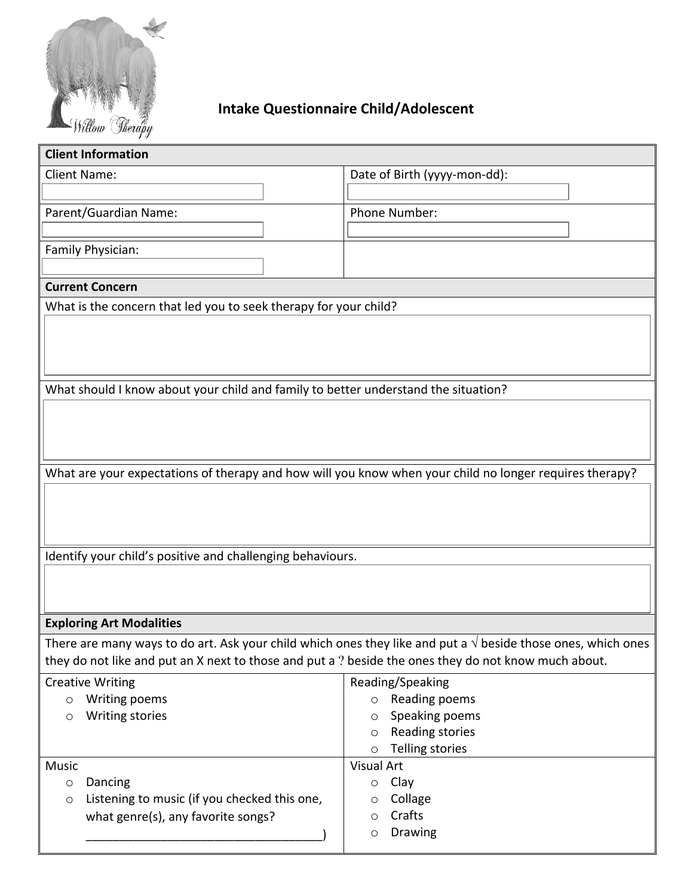

## **Intake Questionnaire Child/Adolescent**

| <b>Client Information</b>                                                                                             |                                              |  |
|-----------------------------------------------------------------------------------------------------------------------|----------------------------------------------|--|
| <b>Client Name:</b>                                                                                                   | Date of Birth (yyyy-mon-dd):                 |  |
|                                                                                                                       |                                              |  |
| Parent/Guardian Name:                                                                                                 | Phone Number:                                |  |
|                                                                                                                       |                                              |  |
| Family Physician:                                                                                                     |                                              |  |
|                                                                                                                       |                                              |  |
| <b>Current Concern</b>                                                                                                |                                              |  |
| What is the concern that led you to seek therapy for your child?                                                      |                                              |  |
|                                                                                                                       |                                              |  |
|                                                                                                                       |                                              |  |
|                                                                                                                       |                                              |  |
| What should I know about your child and family to better understand the situation?                                    |                                              |  |
|                                                                                                                       |                                              |  |
|                                                                                                                       |                                              |  |
|                                                                                                                       |                                              |  |
|                                                                                                                       |                                              |  |
| What are your expectations of therapy and how will you know when your child no longer requires therapy?               |                                              |  |
|                                                                                                                       |                                              |  |
|                                                                                                                       |                                              |  |
|                                                                                                                       |                                              |  |
| Identify your child's positive and challenging behaviours.                                                            |                                              |  |
|                                                                                                                       |                                              |  |
|                                                                                                                       |                                              |  |
|                                                                                                                       |                                              |  |
| <b>Exploring Art Modalities</b>                                                                                       |                                              |  |
| There are many ways to do art. Ask your child which ones they like and put a $\sqrt{ }$ beside those ones, which ones |                                              |  |
| they do not like and put an X next to those and put a ? beside the ones they do not know much about.                  |                                              |  |
| <b>Creative Writing</b>                                                                                               | Reading/Speaking                             |  |
| Writing poems<br>$\circ$                                                                                              | Reading poems<br>$\circ$                     |  |
| <b>Writing stories</b><br>$\circ$                                                                                     | Speaking poems<br>$\circ$<br>Reading stories |  |
|                                                                                                                       | $\circ$<br>Telling stories<br>$\circ$        |  |
| <b>Music</b>                                                                                                          | Visual Art                                   |  |
| Dancing<br>$\boxed{\circ}$                                                                                            | Clay<br>$\circ$                              |  |
| Listening to music (if you checked this one,<br>$\boxed{\circ}$                                                       | Collage<br>$\circ$                           |  |
| what genre(s), any favorite songs?                                                                                    | Crafts<br>$ \circ $                          |  |
|                                                                                                                       | Drawing<br>$ \circ $                         |  |